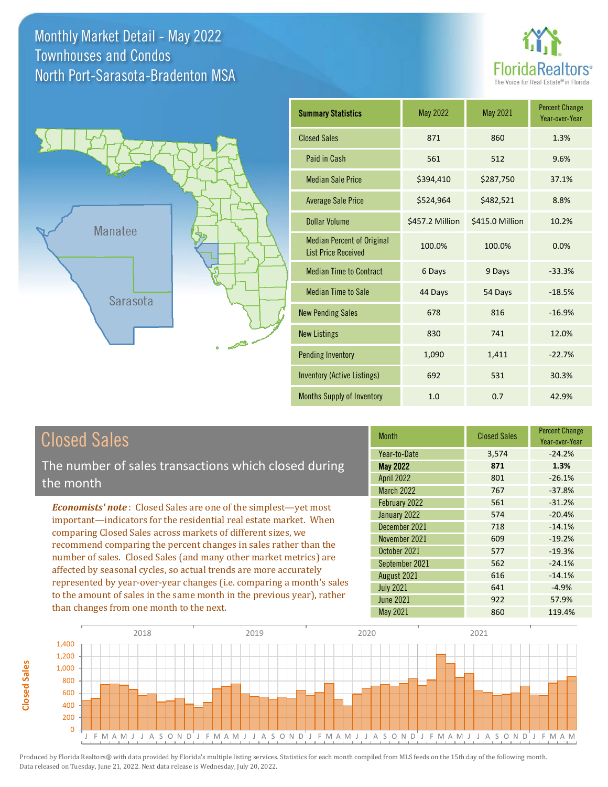Monthly Market Detail - May 2022 North Port-Sarasota-Bradenton MSA Townhouses and Condos





| <b>Summary Statistics</b>                                       | <b>May 2022</b> | <b>May 2021</b> | <b>Percent Change</b><br>Year-over-Year |
|-----------------------------------------------------------------|-----------------|-----------------|-----------------------------------------|
| <b>Closed Sales</b>                                             | 871             | 860             | 1.3%                                    |
| Paid in Cash                                                    | 561             | 512             | 9.6%                                    |
| <b>Median Sale Price</b>                                        | \$394,410       | \$287,750       | 37.1%                                   |
| <b>Average Sale Price</b>                                       | \$524,964       | \$482,521       | 8.8%                                    |
| <b>Dollar Volume</b>                                            | \$457.2 Million | \$415.0 Million | 10.2%                                   |
| <b>Median Percent of Original</b><br><b>List Price Received</b> | 100.0%          | 100.0%          | 0.0%                                    |
| <b>Median Time to Contract</b>                                  | 6 Days          | 9 Days          | $-33.3%$                                |
| <b>Median Time to Sale</b>                                      | 44 Days         | 54 Days         | $-18.5%$                                |
| <b>New Pending Sales</b>                                        | 678             | 816             | $-16.9%$                                |
| <b>New Listings</b>                                             | 830             | 741             | 12.0%                                   |
| <b>Pending Inventory</b>                                        | 1,090           | 1,411           | $-22.7%$                                |
| Inventory (Active Listings)                                     | 692             | 531             | 30.3%                                   |
| Months Supply of Inventory                                      | 1.0             | 0.7             | 42.9%                                   |

#### Closed Sales

The number of sales transactions which closed during the month

*Economists' note* : Closed Sales are one of the simplest—yet most important—indicators for the residential real estate market. When comparing Closed Sales across markets of different sizes, we recommend comparing the percent changes in sales rather than the number of sales. Closed Sales (and many other market metrics) are affected by seasonal cycles, so actual trends are more accurately represented by year-over-year changes (i.e. comparing a month's sales to the amount of sales in the same month in the previous year), rather than changes from one month to the next.

| <b>Month</b>      | <b>Closed Sales</b> | <b>Percent Change</b><br>Year-over-Year |
|-------------------|---------------------|-----------------------------------------|
| Year-to-Date      | 3,574               | $-24.2%$                                |
| <b>May 2022</b>   | 871                 | 1.3%                                    |
| <b>April 2022</b> | 801                 | $-26.1%$                                |
| <b>March 2022</b> | 767                 | $-37.8%$                                |
| February 2022     | 561                 | $-31.2%$                                |
| January 2022      | 574                 | $-20.4%$                                |
| December 2021     | 718                 | $-14.1%$                                |
| November 2021     | 609                 | $-19.2%$                                |
| October 2021      | 577                 | $-19.3%$                                |
| September 2021    | 562                 | $-24.1%$                                |
| August 2021       | 616                 | $-14.1%$                                |
| <b>July 2021</b>  | 641                 | $-4.9%$                                 |
| <b>June 2021</b>  | 922                 | 57.9%                                   |
| <b>May 2021</b>   | 860                 | 119.4%                                  |

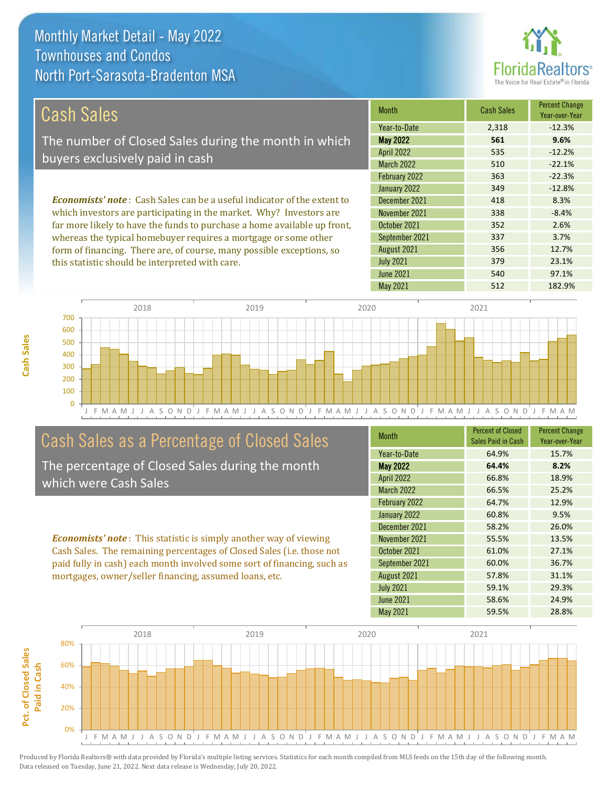Monthly Market Detail - May 2022 North Port-Sarasota-Bradenton MSA Townhouses and Condos

#### Florida tors<sup>®</sup> The Voice for Real Estate

379 23.1%

| Cash Sales                                                                     | <b>Month</b>      | <b>Cash Sales</b> | <b>Percent Change</b><br>Year-over-Year |
|--------------------------------------------------------------------------------|-------------------|-------------------|-----------------------------------------|
|                                                                                | Year-to-Date      | 2,318             | $-12.3%$                                |
| The number of Closed Sales during the month in which                           | <b>May 2022</b>   | 561               | 9.6%                                    |
| buyers exclusively paid in cash                                                | <b>April 2022</b> | 535               | $-12.2%$                                |
|                                                                                | <b>March 2022</b> | 510               | $-22.1%$                                |
|                                                                                | February 2022     | 363               | $-22.3%$                                |
|                                                                                | January 2022      | 349               | $-12.8%$                                |
| <b>Economists' note:</b> Cash Sales can be a useful indicator of the extent to | December 2021     | 418               | 8.3%                                    |
| which investors are participating in the market. Why? Investors are            | November 2021     | 338               | $-8.4%$                                 |
| far more likely to have the funds to purchase a home available up front,       | October 2021      | 352               | 2.6%                                    |
| whereas the typical homebuyer requires a mortgage or some other                | September 2021    | 337               | 3.7%                                    |
| form of financing. There are, of course, many possible exceptions, so          | August 2021       | 356               | 12.7%                                   |

this statistic should be interpreted with care.



J F M A M J J A S O N D J F M A M J J A S O N D J F M A M J J A S O N D J F M A M J J A S O N D J F M A M

July 2021

Cash Sales as a Percentage of Closed Sales

The percentage of Closed Sales during the month which were Cash Sales

*Economists' note* : This statistic is simply another way of viewing Cash Sales. The remaining percentages of Closed Sales (i.e. those not paid fully in cash) each month involved some sort of financing, such as mortgages, owner/seller financing, assumed loans, etc.

| Month             | <b>Percent of Closed</b><br>Sales Paid in Cash | <b>Percent Change</b><br>Year-over-Year |
|-------------------|------------------------------------------------|-----------------------------------------|
| Year-to-Date      | 64.9%                                          | 15.7%                                   |
| <b>May 2022</b>   | 64.4%                                          | 8.2%                                    |
| <b>April 2022</b> | 66.8%                                          | 18.9%                                   |
| <b>March 2022</b> | 66.5%                                          | 25.2%                                   |
| February 2022     | 64.7%                                          | 12.9%                                   |
| January 2022      | 60.8%                                          | 9.5%                                    |
| December 2021     | 58.2%                                          | 26.0%                                   |
| November 2021     | 55.5%                                          | 13.5%                                   |
| October 2021      | 61.0%                                          | 27.1%                                   |
| September 2021    | 60.0%                                          | 36.7%                                   |
| August 2021       | 57.8%                                          | 31.1%                                   |
| <b>July 2021</b>  | 59.1%                                          | 29.3%                                   |
| June 2021         | 58.6%                                          | 24.9%                                   |
| May 2021          | 59.5%                                          | 28.8%                                   |



Produced by Florida Realtors® with data provided by Florida's multiple listing services. Statistics for each month compiled from MLS feeds on the 15th day of the following month. Data released on Tuesday, June 21, 2022. Next data release is Wednesday, July 20, 2022.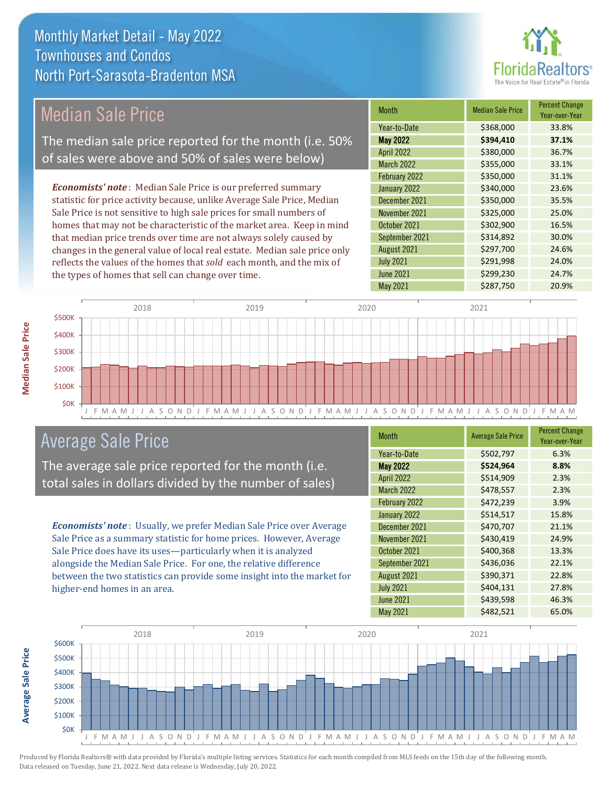#### *Economists' note* : Median Sale Price is our preferred summary statistic for price activity because, unlike Average Sale Price, Median Sale Price is not sensitive to high sale prices for small numbers of homes that may not be characteristic of the market area. Keep in mind that median price trends over time are not always solely caused by changes in the general value of local real estate. Median sale price only July 2021 **\$291,998** 24.0% September 2021 **\$314,892** 30.0% August 2021 **\$297,700** 24.6% \$350,000 31.1% January 2022 **\$340,000** \$340,000 23.6% October 2021 \$302,900 16.5% April 2022 \$380,000 36.7% March 2022 \$355,000 33.1% December 2021 **\$350,000** 35.5% November 2021 **\$325,000** 25.0% February 2022 Month Median Sale Price Percent Change Year-over-Year **May 2022 \$394,410 \$37.1%** Year-to-Date \$368,000 33.8% Median Sale Price The median sale price reported for the month (i.e. 50% of sales were above and 50% of sales were below)



#### Average Sale Price

The average sale price reported for the month (i.e. total sales in dollars divided by the number of sales)

reflects the values of the homes that *sold* each month, and the mix of

the types of homes that sell can change over time.

*Economists' note* : Usually, we prefer Median Sale Price over Average Sale Price as a summary statistic for home prices. However, Average Sale Price does have its uses—particularly when it is analyzed alongside the Median Sale Price. For one, the relative difference between the two statistics can provide some insight into the market for higher-end homes in an area.

| <b>Month</b>      | <b>Average Sale Price</b> | <b>Percent Change</b><br>Year-over-Year |
|-------------------|---------------------------|-----------------------------------------|
| Year-to-Date      | \$502,797                 | 6.3%                                    |
| <b>May 2022</b>   | \$524,964                 | 8.8%                                    |
| April 2022        | \$514,909                 | 2.3%                                    |
| <b>March 2022</b> | \$478,557                 | 2.3%                                    |
| February 2022     | \$472,239                 | 3.9%                                    |
| January 2022      | \$514,517                 | 15.8%                                   |
| December 2021     | \$470,707                 | 21.1%                                   |
| November 2021     | \$430,419                 | 24.9%                                   |
| October 2021      | \$400,368                 | 13.3%                                   |
| September 2021    | \$436,036                 | 22.1%                                   |
| August 2021       | \$390,371                 | 22.8%                                   |
| <b>July 2021</b>  | \$404,131                 | 27.8%                                   |
| <b>June 2021</b>  | \$439,598                 | 46.3%                                   |
| May 2021          | \$482,521                 | 65.0%                                   |

June 2021 **\$299,230** 24.7%



Produced by Florida Realtors® with data provided by Florida's multiple listing services. Statistics for each month compiled from MLS feeds on the 15th day of the following month. Data released on Tuesday, June 21, 2022. Next data release is Wednesday, July 20, 2022.

**Average Sale Price**

**Average Sale Price**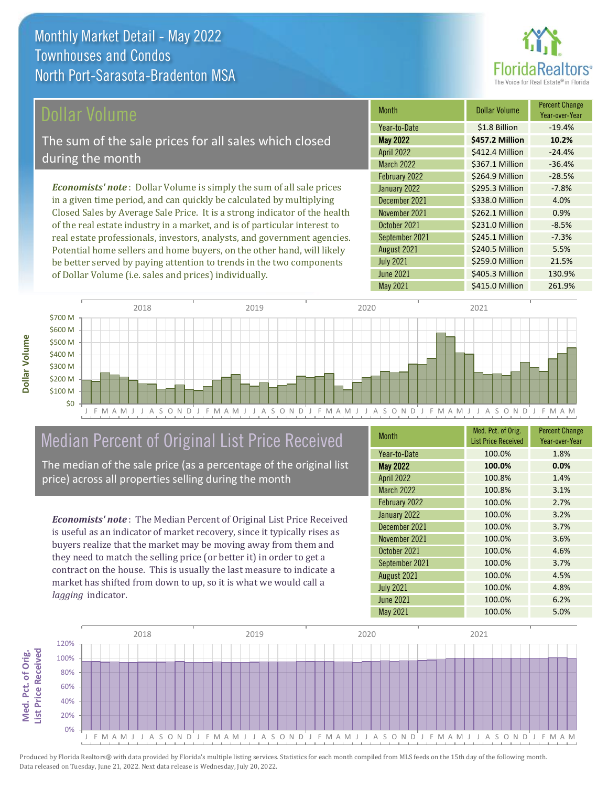#### Dollar Volume

The sum of the sale prices for all sales which closed during the month

*Economists' note* : Dollar Volume is simply the sum of all sale prices in a given time period, and can quickly be calculated by multiplying Closed Sales by Average Sale Price. It is a strong indicator of the health of the real estate industry in a market, and is of particular interest to real estate professionals, investors, analysts, and government agencies. Potential home sellers and home buyers, on the other hand, will likely be better served by paying attention to trends in the two components of Dollar Volume (i.e. sales and prices) individually.

| Month             | <b>Dollar Volume</b> | <b>Percent Change</b><br>Year-over-Year |
|-------------------|----------------------|-----------------------------------------|
| Year-to-Date      | \$1.8 Billion        | $-19.4%$                                |
| <b>May 2022</b>   | \$457.2 Million      | 10.2%                                   |
| <b>April 2022</b> | \$412.4 Million      | $-24.4%$                                |
| March 2022        | \$367.1 Million      | $-36.4%$                                |
| February 2022     | \$264.9 Million      | $-28.5%$                                |
| January 2022      | \$295.3 Million      | $-7.8%$                                 |
| December 2021     | \$338.0 Million      | 4.0%                                    |
| November 2021     | \$262.1 Million      | 0.9%                                    |
| October 2021      | \$231.0 Million      | $-8.5%$                                 |
| September 2021    | \$245.1 Million      | $-7.3%$                                 |
| August 2021       | \$240.5 Million      | 5.5%                                    |
| <b>July 2021</b>  | \$259.0 Million      | 21.5%                                   |
| <b>June 2021</b>  | \$405.3 Million      | 130.9%                                  |
| <b>May 2021</b>   | \$415.0 Million      | 261.9%                                  |



#### Median Percent of Original List Price Received

The median of the sale price (as a percentage of the original list price) across all properties selling during the month

*Economists' note* : The Median Percent of Original List Price Received is useful as an indicator of market recovery, since it typically rises as buyers realize that the market may be moving away from them and they need to match the selling price (or better it) in order to get a contract on the house. This is usually the last measure to indicate a market has shifted from down to up, so it is what we would call a *lagging* indicator.

| <b>Month</b>      | Med. Pct. of Orig.         | <b>Percent Change</b> |
|-------------------|----------------------------|-----------------------|
|                   | <b>List Price Received</b> | Year-over-Year        |
| Year-to-Date      | 100.0%                     | 1.8%                  |
| <b>May 2022</b>   | 100.0%                     | 0.0%                  |
| <b>April 2022</b> | 100.8%                     | 1.4%                  |
| <b>March 2022</b> | 100.8%                     | 3.1%                  |
| February 2022     | 100.0%                     | 2.7%                  |
| January 2022      | 100.0%                     | 3.2%                  |
| December 2021     | 100.0%                     | 3.7%                  |
| November 2021     | 100.0%                     | 3.6%                  |
| October 2021      | 100.0%                     | 4.6%                  |
| September 2021    | 100.0%                     | 3.7%                  |
| August 2021       | 100.0%                     | 4.5%                  |
| <b>July 2021</b>  | 100.0%                     | 4.8%                  |
| <b>June 2021</b>  | 100.0%                     | 6.2%                  |
| <b>May 2021</b>   | 100.0%                     | 5.0%                  |

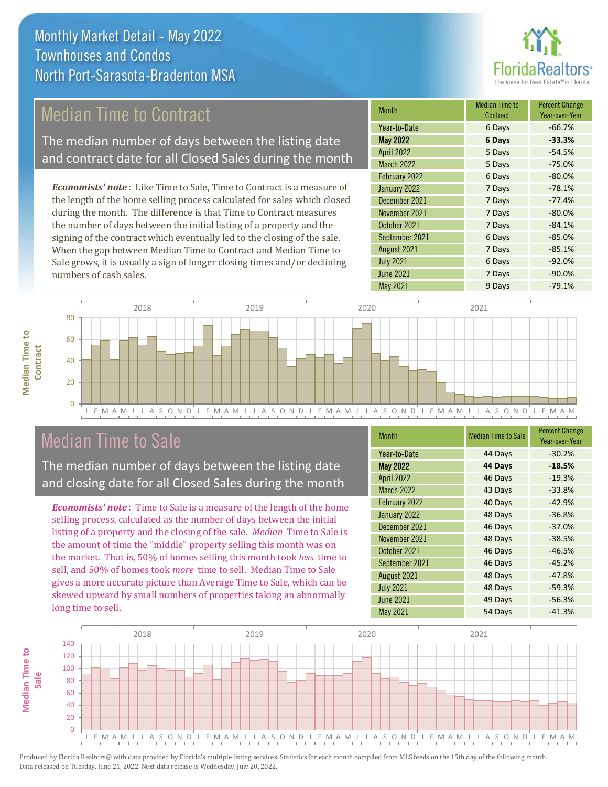#### Median Time to Contract

The median number of days between the listing date and contract date for all Closed Sales during the month

*Economists' note* : Like Time to Sale, Time to Contract is a measure of the length of the home selling process calculated for sales which closed during the month. The difference is that Time to Contract measures the number of days between the initial listing of a property and the signing of the contract which eventually led to the closing of the sale. When the gap between Median Time to Contract and Median Time to Sale grows, it is usually a sign of longer closing times and/or declining numbers of cash sales.

| <b>Month</b>      | <b>Median Time to</b><br>Contract | <b>Percent Change</b><br>Year-over-Year |
|-------------------|-----------------------------------|-----------------------------------------|
| Year-to-Date      | 6 Days                            | $-66.7%$                                |
| <b>May 2022</b>   | 6 Days                            | $-33.3%$                                |
| <b>April 2022</b> | 5 Days                            | $-54.5%$                                |
| <b>March 2022</b> | 5 Days                            | $-75.0%$                                |
| February 2022     | 6 Days                            | $-80.0%$                                |
| January 2022      | 7 Days                            | $-78.1%$                                |
| December 2021     | 7 Days                            | $-77.4%$                                |
| November 2021     | 7 Days                            | $-80.0%$                                |
| October 2021      | 7 Days                            | $-84.1%$                                |
| September 2021    | 6 Days                            | $-85.0%$                                |
| August 2021       | 7 Days                            | $-85.1%$                                |
| <b>July 2021</b>  | 6 Days                            | $-92.0%$                                |
| <b>June 2021</b>  | 7 Days                            | $-90.0%$                                |
| <b>May 2021</b>   | 9 Days                            | $-79.1%$                                |



#### Median Time to Sale

**Median Time to** 

**Median Time to** 

The median number of days between the listing date and closing date for all Closed Sales during the month

*Economists' note* : Time to Sale is a measure of the length of the home selling process, calculated as the number of days between the initial listing of a property and the closing of the sale. *Median* Time to Sale is the amount of time the "middle" property selling this month was on the market. That is, 50% of homes selling this month took *less* time to sell, and 50% of homes took *more* time to sell. Median Time to Sale gives a more accurate picture than Average Time to Sale, which can be skewed upward by small numbers of properties taking an abnormally long time to sell.

| <b>Month</b>      | <b>Median Time to Sale</b> | <b>Percent Change</b><br>Year-over-Year |
|-------------------|----------------------------|-----------------------------------------|
| Year-to-Date      | 44 Days                    | $-30.2%$                                |
| <b>May 2022</b>   | 44 Days                    | $-18.5%$                                |
| <b>April 2022</b> | 46 Days                    | $-19.3%$                                |
| <b>March 2022</b> | 43 Days                    | $-33.8%$                                |
| February 2022     | 40 Days                    | $-42.9%$                                |
| January 2022      | 48 Days                    | $-36.8%$                                |
| December 2021     | 46 Days                    | $-37.0%$                                |
| November 2021     | 48 Days                    | $-38.5%$                                |
| October 2021      | 46 Days                    | $-46.5%$                                |
| September 2021    | 46 Days                    | $-45.2%$                                |
| August 2021       | 48 Days                    | $-47.8%$                                |
| <b>July 2021</b>  | 48 Days                    | $-59.3%$                                |
| <b>June 2021</b>  | 49 Days                    | $-56.3%$                                |
| May 2021          | 54 Days                    | $-41.3%$                                |

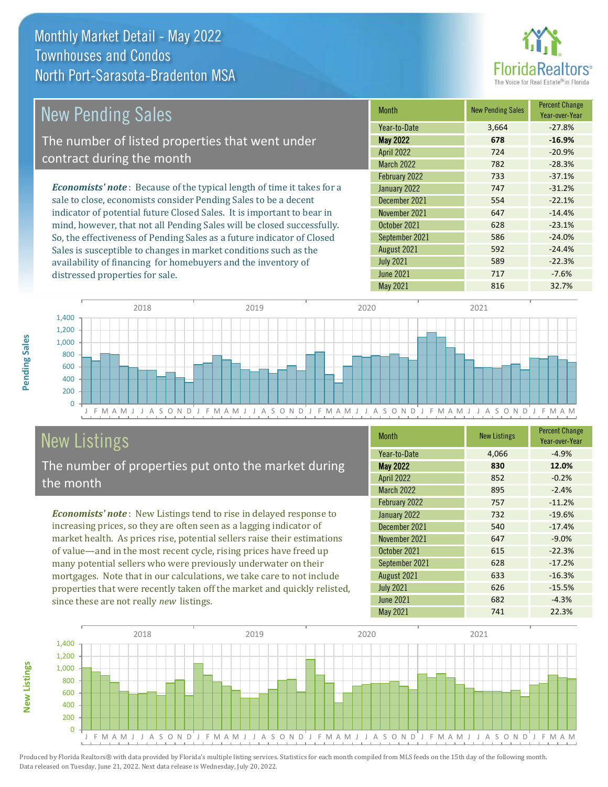

| <b>New Pending Sales</b>                                                       | <b>Month</b>      | <b>New Pending Sales</b> | <b>Percent Change</b><br>Year-over-Year |
|--------------------------------------------------------------------------------|-------------------|--------------------------|-----------------------------------------|
|                                                                                | Year-to-Date      | 3,664                    | $-27.8%$                                |
| The number of listed properties that went under                                | <b>May 2022</b>   | 678                      | $-16.9%$                                |
|                                                                                | <b>April 2022</b> | 724                      | $-20.9%$                                |
| contract during the month                                                      | <b>March 2022</b> | 782                      | $-28.3%$                                |
|                                                                                | February 2022     | 733                      | $-37.1%$                                |
| <b>Economists' note</b> : Because of the typical length of time it takes for a | January 2022      | 747                      | $-31.2%$                                |
| sale to close, economists consider Pending Sales to be a decent                | December 2021     | 554                      | $-22.1%$                                |
| indicator of potential future Closed Sales. It is important to bear in         | November 2021     | 647                      | $-14.4%$                                |
| mind, however, that not all Pending Sales will be closed successfully.         | October 2021      | 628                      | $-23.1%$                                |
| So, the effectiveness of Pending Sales as a future indicator of Closed         | September 2021    | 586                      | $-24.0%$                                |

Sales is susceptible to changes in market conditions such as the availability of financing for homebuyers and the inventory of distressed properties for sale.





## New Listings

The number of properties put onto the market during the month

*Economists' note* : New Listings tend to rise in delayed response to increasing prices, so they are often seen as a lagging indicator of market health. As prices rise, potential sellers raise their estimations of value—and in the most recent cycle, rising prices have freed up many potential sellers who were previously underwater on their mortgages. Note that in our calculations, we take care to not include properties that were recently taken off the market and quickly relisted, since these are not really *new* listings.

| <b>Month</b>      | <b>New Listings</b> | <b>Percent Change</b><br>Year-over-Year |
|-------------------|---------------------|-----------------------------------------|
| Year-to-Date      | 4,066               | $-4.9%$                                 |
| May 2022          | 830                 | 12.0%                                   |
| <b>April 2022</b> | 852                 | $-0.2%$                                 |
| <b>March 2022</b> | 895                 | $-2.4%$                                 |
| February 2022     | 757                 | $-11.2%$                                |
| January 2022      | 732                 | $-19.6%$                                |
| December 2021     | 540                 | $-17.4%$                                |
| November 2021     | 647                 | $-9.0%$                                 |
| October 2021      | 615                 | $-22.3%$                                |
| September 2021    | 628                 | $-17.2%$                                |
| August 2021       | 633                 | $-16.3%$                                |
| <b>July 2021</b>  | 626                 | $-15.5%$                                |
| <b>June 2021</b>  | 682                 | $-4.3%$                                 |
| <b>May 2021</b>   | 741                 | 22.3%                                   |



Produced by Florida Realtors® with data provided by Florida's multiple listing services. Statistics for each month compiled from MLS feeds on the 15th day of the following month. Data released on Tuesday, June 21, 2022. Next data release is Wednesday, July 20, 2022.

**New Listings**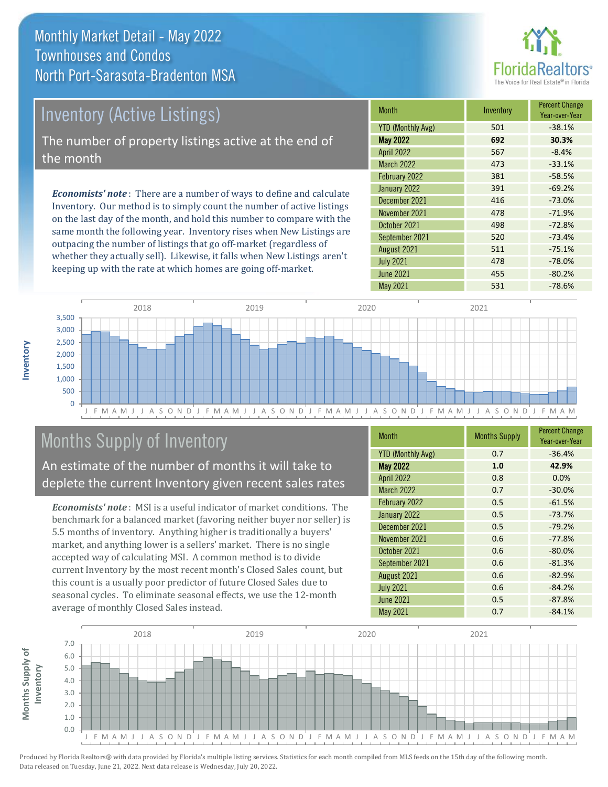Monthly Market Detail - May 2022 North Port-Sarasota-Bradenton MSA Townhouses and Condos



### Inventory (Active Listings)

The number of property listings active at the end of the month

*Economists' note* : There are a number of ways to define and calculate Inventory. Our method is to simply count the number of active listings on the last day of the month, and hold this number to compare with the same month the following year. Inventory rises when New Listings are outpacing the number of listings that go off-market (regardless of whether they actually sell). Likewise, it falls when New Listings aren't keeping up with the rate at which homes are going off-market.

| <b>Month</b>             | Inventory | <b>Percent Change</b><br>Year-over-Year |
|--------------------------|-----------|-----------------------------------------|
| <b>YTD (Monthly Avg)</b> | 501       | $-38.1%$                                |
| <b>May 2022</b>          | 692       | 30.3%                                   |
| <b>April 2022</b>        | 567       | $-8.4%$                                 |
| <b>March 2022</b>        | 473       | $-33.1%$                                |
| February 2022            | 381       | $-58.5%$                                |
| January 2022             | 391       | $-69.2%$                                |
| December 2021            | 416       | $-73.0%$                                |
| November 2021            | 478       | $-71.9%$                                |
| October 2021             | 498       | $-72.8%$                                |
| September 2021           | 520       | $-73.4%$                                |
| August 2021              | 511       | $-75.1%$                                |
| <b>July 2021</b>         | 478       | $-78.0%$                                |
| <b>June 2021</b>         | 455       | $-80.2%$                                |
| May 2021                 | 531       | $-78.6%$                                |



### Months Supply of Inventory

An estimate of the number of months it will take to deplete the current Inventory given recent sales rates

*Economists' note* : MSI is a useful indicator of market conditions. The benchmark for a balanced market (favoring neither buyer nor seller) is 5.5 months of inventory. Anything higher is traditionally a buyers' market, and anything lower is a sellers' market. There is no single accepted way of calculating MSI. A common method is to divide current Inventory by the most recent month's Closed Sales count, but this count is a usually poor predictor of future Closed Sales due to seasonal cycles. To eliminate seasonal effects, we use the 12-month average of monthly Closed Sales instead.

| <b>Month</b>             | <b>Months Supply</b> | <b>Percent Change</b><br>Year-over-Year |
|--------------------------|----------------------|-----------------------------------------|
| <b>YTD (Monthly Avg)</b> | 0.7                  | $-36.4%$                                |
| <b>May 2022</b>          | 1.0                  | 42.9%                                   |
| <b>April 2022</b>        | 0.8                  | 0.0%                                    |
| <b>March 2022</b>        | 0.7                  | $-30.0%$                                |
| February 2022            | 0.5                  | $-61.5%$                                |
| January 2022             | 0.5                  | $-73.7%$                                |
| December 2021            | 0.5                  | $-79.2%$                                |
| November 2021            | 0.6                  | $-77.8%$                                |
| October 2021             | 0.6                  | $-80.0%$                                |
| September 2021           | 0.6                  | $-81.3%$                                |
| August 2021              | 0.6                  | $-82.9%$                                |
| <b>July 2021</b>         | 0.6                  | $-84.2%$                                |
| <b>June 2021</b>         | 0.5                  | $-87.8%$                                |
| May 2021                 | 0.7                  | $-84.1%$                                |

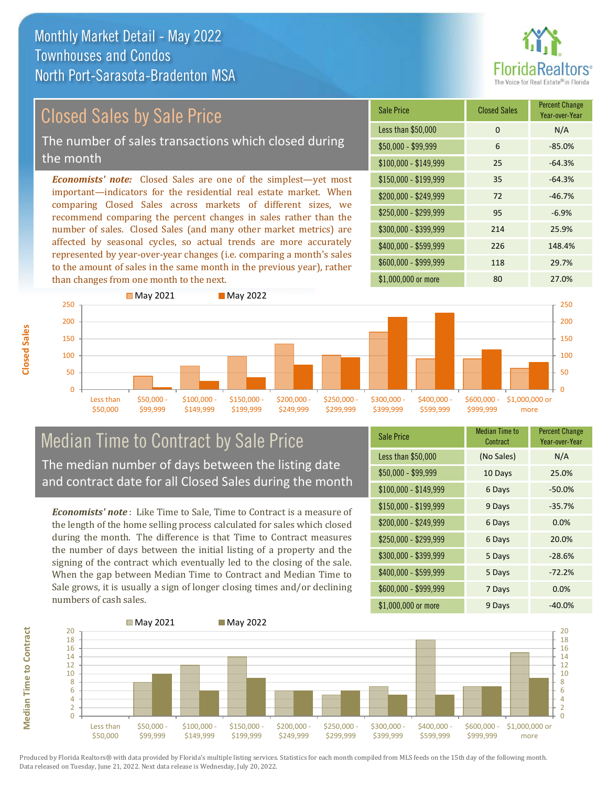## Realtors

#### Closed Sales by Sale Price

The number of sales transactions which closed during the month

*Economists' note:* Closed Sales are one of the simplest—yet most important—indicators for the residential real estate market. When comparing Closed Sales across markets of different sizes, we recommend comparing the percent changes in sales rather than the number of sales. Closed Sales (and many other market metrics) are affected by seasonal cycles, so actual trends are more accurately represented by year-over-year changes (i.e. comparing a month's sales to the amount of sales in the same month in the previous year), rather than changes from one month to the next.





## Median Time to Contract by Sale Price The median number of days between the listing date

*Economists' note* : Like Time to Sale, Time to Contract is a measure of and contract date for all Closed Sales during the month

the length of the home selling process calculated for sales which closed during the month. The difference is that Time to Contract measures the number of days between the initial listing of a property and the signing of the contract which eventually led to the closing of the sale. When the gap between Median Time to Contract and Median Time to Sale grows, it is usually a sign of longer closing times and/or declining numbers of cash sales.

| <b>Sale Price</b>     | <b>Median Time to</b><br>Contract | <b>Percent Change</b><br>Year-over-Year |
|-----------------------|-----------------------------------|-----------------------------------------|
| Less than \$50,000    | (No Sales)                        | N/A                                     |
| $$50,000 - $99,999$   | 10 Days                           | 25.0%                                   |
| $$100,000 - $149,999$ | 6 Days                            | $-50.0%$                                |
| $$150,000 - $199,999$ | 9 Days                            | $-35.7%$                                |
| \$200,000 - \$249,999 | 6 Days                            | 0.0%                                    |
| \$250,000 - \$299,999 | 6 Days                            | 20.0%                                   |
| \$300,000 - \$399,999 | 5 Days                            | $-28.6%$                                |
| \$400,000 - \$599,999 | 5 Days                            | $-72.2%$                                |
| \$600,000 - \$999,999 | 7 Days                            | 0.0%                                    |
| \$1,000,000 or more   | 9 Days                            | $-40.0%$                                |



Produced by Florida Realtors® with data provided by Florida's multiple listing services. Statistics for each month compiled from MLS feeds on the 15th day of the following month. Data released on Tuesday, June 21, 2022. Next data release is Wednesday, July 20, 2022.

**Median Time to Contract Median Time to Contract**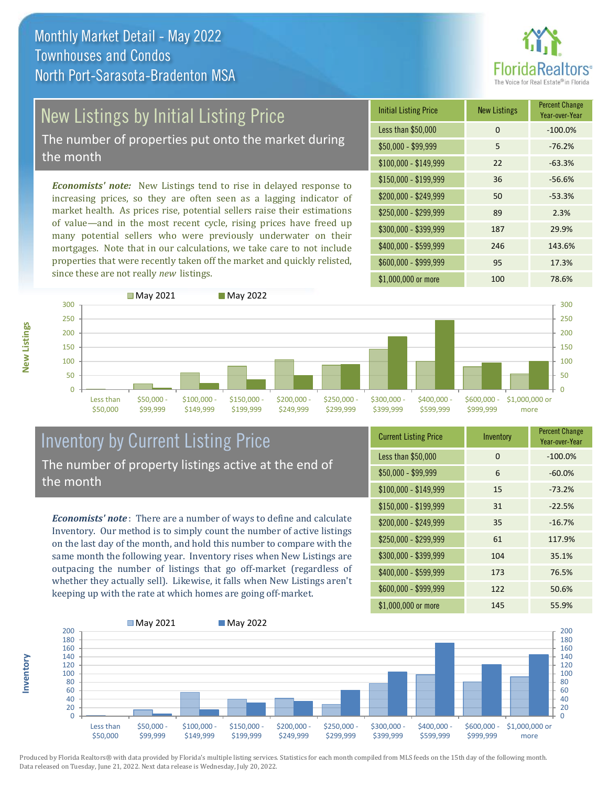# **FloridaRealtors**

## New Listings by Initial Listing Price

The number of properties put onto the market during the month

*Economists' note:* New Listings tend to rise in delayed response to increasing prices, so they are often seen as a lagging indicator of market health. As prices rise, potential sellers raise their estimations of value—and in the most recent cycle, rising prices have freed up many potential sellers who were previously underwater on their mortgages. Note that in our calculations, we take care to not include properties that were recently taken off the market and quickly relisted, since these are not really *new* listings.





#### Inventory by Current Listing Price The number of property listings active at the end of the month

*Economists' note* : There are a number of ways to define and calculate Inventory. Our method is to simply count the number of active listings on the last day of the month, and hold this number to compare with the same month the following year. Inventory rises when New Listings are outpacing the number of listings that go off-market (regardless of whether they actually sell). Likewise, it falls when New Listings aren't keeping up with the rate at which homes are going off-market.

| <b>Current Listing Price</b> | Inventory | <b>Percent Change</b><br>Year-over-Year |
|------------------------------|-----------|-----------------------------------------|
| Less than \$50,000           | 0         | $-100.0%$                               |
| $$50,000 - $99,999$          | 6         | $-60.0%$                                |
| $$100,000 - $149,999$        | 15        | $-73.2%$                                |
| $$150,000 - $199,999$        | 31        | $-22.5%$                                |
| \$200,000 - \$249,999        | 35        | $-16.7%$                                |
| \$250,000 - \$299,999        | 61        | 117.9%                                  |
| \$300,000 - \$399,999        | 104       | 35.1%                                   |
| $$400,000 - $599,999$        | 173       | 76.5%                                   |
| \$600,000 - \$999,999        | 122       | 50.6%                                   |
| \$1,000,000 or more          | 145       | 55.9%                                   |



Produced by Florida Realtors® with data provided by Florida's multiple listing services. Statistics for each month compiled from MLS feeds on the 15th day of the following month. Data released on Tuesday, June 21, 2022. Next data release is Wednesday, July 20, 2022.

**Inventory**